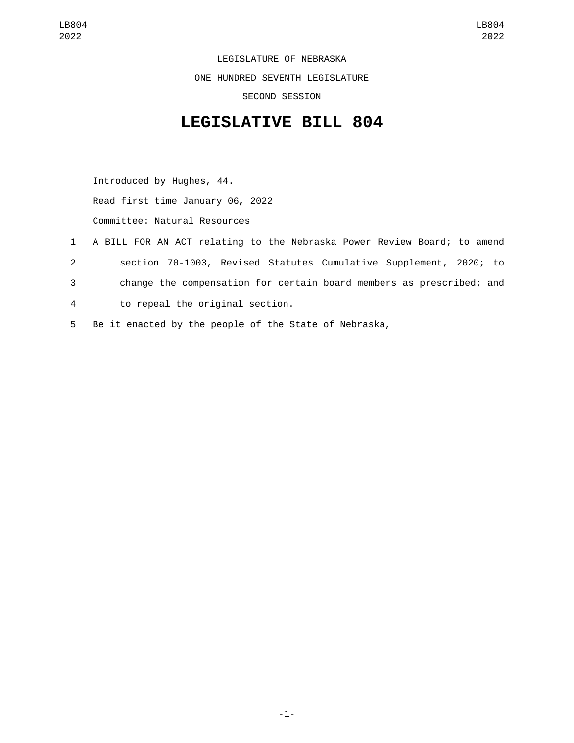LEGISLATURE OF NEBRASKA ONE HUNDRED SEVENTH LEGISLATURE SECOND SESSION

## **LEGISLATIVE BILL 804**

Introduced by Hughes, 44. Read first time January 06, 2022 Committee: Natural Resources

- 1 A BILL FOR AN ACT relating to the Nebraska Power Review Board; to amend 2 section 70-1003, Revised Statutes Cumulative Supplement, 2020; to 3 change the compensation for certain board members as prescribed; and to repeal the original section.4
- 5 Be it enacted by the people of the State of Nebraska,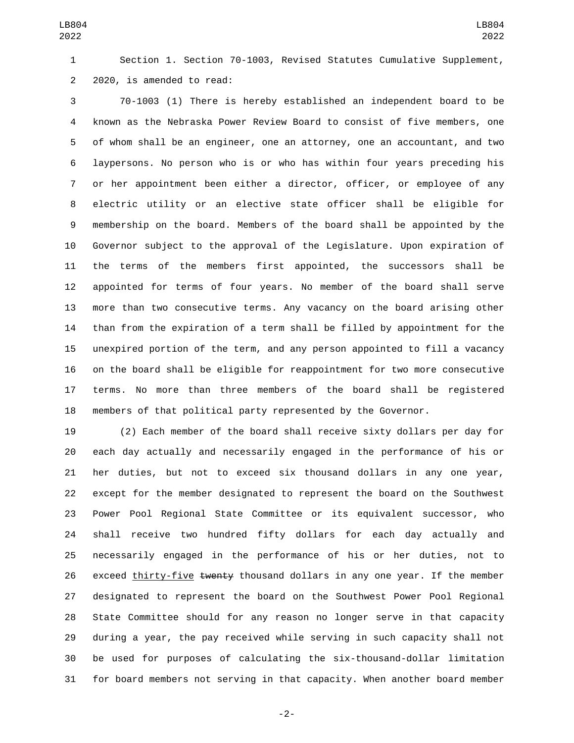Section 1. Section 70-1003, Revised Statutes Cumulative Supplement, 2 2020, is amended to read:

 70-1003 (1) There is hereby established an independent board to be known as the Nebraska Power Review Board to consist of five members, one of whom shall be an engineer, one an attorney, one an accountant, and two laypersons. No person who is or who has within four years preceding his or her appointment been either a director, officer, or employee of any electric utility or an elective state officer shall be eligible for membership on the board. Members of the board shall be appointed by the Governor subject to the approval of the Legislature. Upon expiration of the terms of the members first appointed, the successors shall be appointed for terms of four years. No member of the board shall serve more than two consecutive terms. Any vacancy on the board arising other than from the expiration of a term shall be filled by appointment for the unexpired portion of the term, and any person appointed to fill a vacancy on the board shall be eligible for reappointment for two more consecutive terms. No more than three members of the board shall be registered members of that political party represented by the Governor.

 (2) Each member of the board shall receive sixty dollars per day for each day actually and necessarily engaged in the performance of his or her duties, but not to exceed six thousand dollars in any one year, except for the member designated to represent the board on the Southwest Power Pool Regional State Committee or its equivalent successor, who shall receive two hundred fifty dollars for each day actually and necessarily engaged in the performance of his or her duties, not to 26 exceed thirty-five twenty thousand dollars in any one year. If the member designated to represent the board on the Southwest Power Pool Regional State Committee should for any reason no longer serve in that capacity during a year, the pay received while serving in such capacity shall not be used for purposes of calculating the six-thousand-dollar limitation for board members not serving in that capacity. When another board member

-2-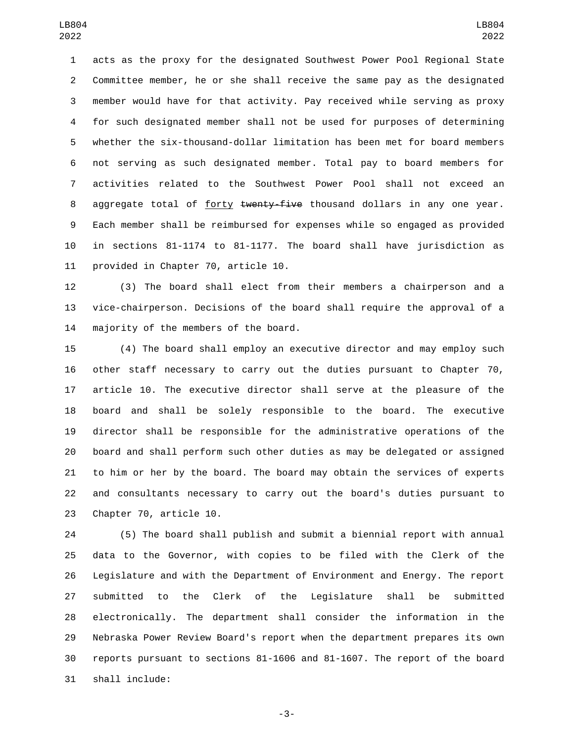acts as the proxy for the designated Southwest Power Pool Regional State Committee member, he or she shall receive the same pay as the designated member would have for that activity. Pay received while serving as proxy for such designated member shall not be used for purposes of determining whether the six-thousand-dollar limitation has been met for board members not serving as such designated member. Total pay to board members for activities related to the Southwest Power Pool shall not exceed an 8 aggregate total of forty twenty-five thousand dollars in any one year. Each member shall be reimbursed for expenses while so engaged as provided in sections 81-1174 to 81-1177. The board shall have jurisdiction as 11 provided in Chapter 70, article 10.

 (3) The board shall elect from their members a chairperson and a vice-chairperson. Decisions of the board shall require the approval of a 14 majority of the members of the board.

 (4) The board shall employ an executive director and may employ such other staff necessary to carry out the duties pursuant to Chapter 70, article 10. The executive director shall serve at the pleasure of the board and shall be solely responsible to the board. The executive director shall be responsible for the administrative operations of the board and shall perform such other duties as may be delegated or assigned to him or her by the board. The board may obtain the services of experts and consultants necessary to carry out the board's duties pursuant to 23 Chapter 70, article 10.

 (5) The board shall publish and submit a biennial report with annual data to the Governor, with copies to be filed with the Clerk of the Legislature and with the Department of Environment and Energy. The report submitted to the Clerk of the Legislature shall be submitted electronically. The department shall consider the information in the Nebraska Power Review Board's report when the department prepares its own reports pursuant to sections 81-1606 and 81-1607. The report of the board shall include:31

-3-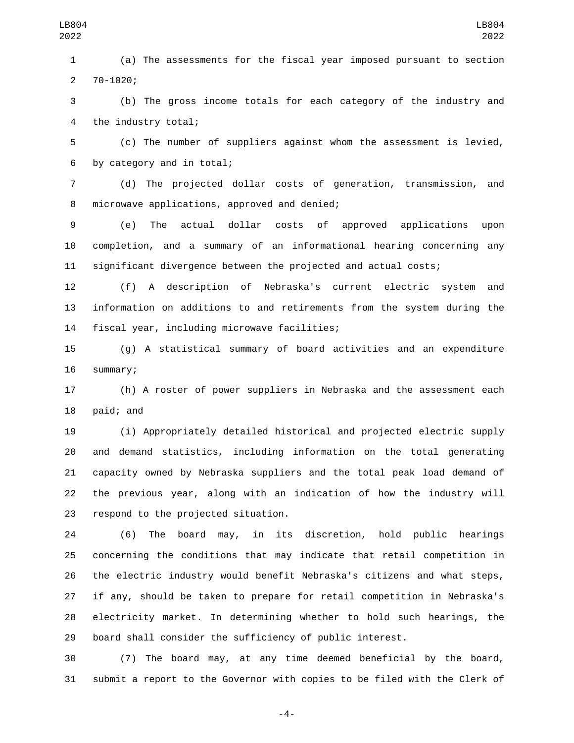(a) The assessments for the fiscal year imposed pursuant to section 70-1020;2

 (b) The gross income totals for each category of the industry and 4 the industry total;

 (c) The number of suppliers against whom the assessment is levied, 6 by category and in total;

 (d) The projected dollar costs of generation, transmission, and 8 microwave applications, approved and denied;

 (e) The actual dollar costs of approved applications upon completion, and a summary of an informational hearing concerning any significant divergence between the projected and actual costs;

 (f) A description of Nebraska's current electric system and information on additions to and retirements from the system during the 14 fiscal year, including microwave facilities;

 (g) A statistical summary of board activities and an expenditure 16 summary;

 (h) A roster of power suppliers in Nebraska and the assessment each 18 paid; and

 (i) Appropriately detailed historical and projected electric supply and demand statistics, including information on the total generating capacity owned by Nebraska suppliers and the total peak load demand of the previous year, along with an indication of how the industry will 23 respond to the projected situation.

 (6) The board may, in its discretion, hold public hearings concerning the conditions that may indicate that retail competition in the electric industry would benefit Nebraska's citizens and what steps, if any, should be taken to prepare for retail competition in Nebraska's electricity market. In determining whether to hold such hearings, the board shall consider the sufficiency of public interest.

 (7) The board may, at any time deemed beneficial by the board, submit a report to the Governor with copies to be filed with the Clerk of

-4-